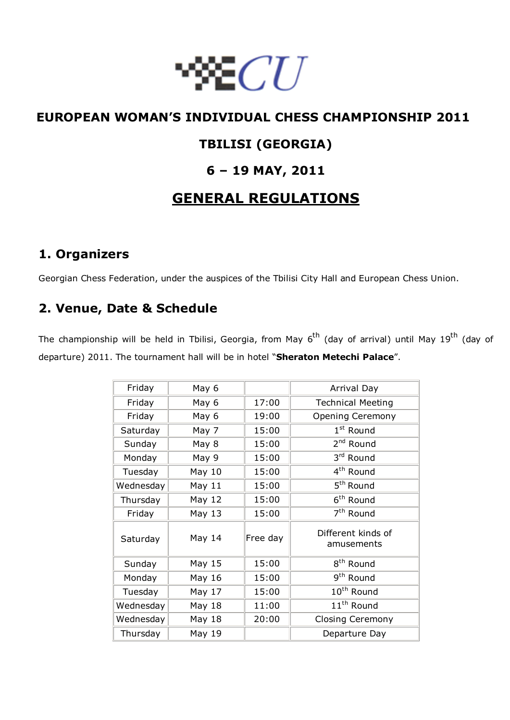

# **EUROPEAN WOMAN'S INDIVIDUAL CHESS CHAMPIONSHIP 2011**

## **TBILISI (GEORGIA)**

## **6 – 19 MAY, 2011**

# **GENERAL REGULATIONS**

## **1. Organizers**

Georgian Chess Federation, under the auspices of the Tbilisi City Hall and European Chess Union.

## **2. Venue, Date & Schedule**

The championship will be held in Tbilisi, Georgia, from May 6<sup>th</sup> (day of arrival) until May 19<sup>th</sup> (day of departure) 2011. The tournament hall will be in hotel "**Sheraton Metechi Palace**".

| Friday    | May 6  |          | Arrival Day                      |
|-----------|--------|----------|----------------------------------|
| Friday    | May 6  | 17:00    | <b>Technical Meeting</b>         |
| Friday    | May 6  | 19:00    | <b>Opening Ceremony</b>          |
| Saturday  | May 7  | 15:00    | $1st$ Round                      |
| Sunday    | May 8  | 15:00    | 2 <sup>nd</sup> Round            |
| Monday    | May 9  | 15:00    | 3rd Round                        |
| Tuesday   | May 10 | 15:00    | 4 <sup>th</sup> Round            |
| Wednesday | May 11 | 15:00    | 5 <sup>th</sup> Round            |
| Thursday  | May 12 | 15:00    | 6 <sup>th</sup> Round            |
| Friday    | May 13 | 15:00    | 7 <sup>th</sup> Round            |
| Saturday  | May 14 | Free day | Different kinds of<br>amusements |
| Sunday    | May 15 | 15:00    | 8 <sup>th</sup> Round            |
| Monday    | May 16 | 15:00    | 9 <sup>th</sup> Round            |
| Tuesday   | May 17 | 15:00    | 10 <sup>th</sup> Round           |
| Wednesday | May 18 | 11:00    | 11 <sup>th</sup> Round           |
| Wednesday | May 18 | 20:00    | <b>Closing Ceremony</b>          |
| Thursday  | May 19 |          | Departure Day                    |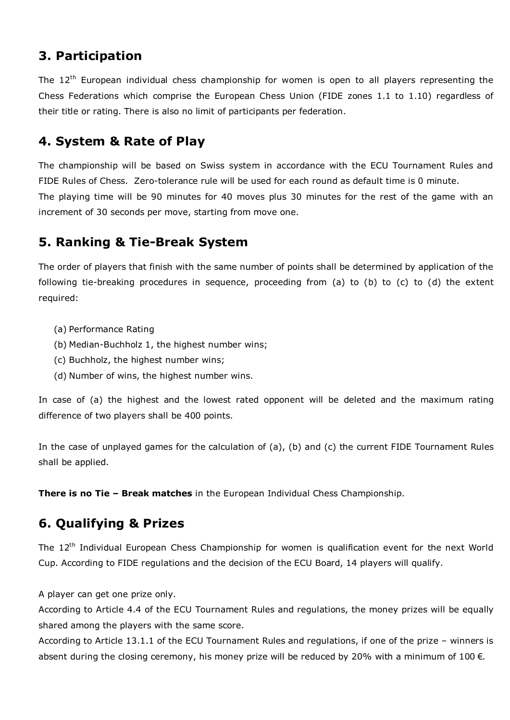## **3. Participation**

The 12<sup>th</sup> European individual chess championship for women is open to all players representing the Chess Federations which comprise the European Chess Union (FIDE zones 1.1 to 1.10) regardless of their title or rating. There is also no limit of participants per federation.

## **4. System & Rate of Play**

The championship will be based on Swiss system in accordance with the ECU Tournament Rules and FIDE Rules of Chess. Zero-tolerance rule will be used for each round as default time is 0 minute. The playing time will be 90 minutes for 40 moves plus 30 minutes for the rest of the game with an increment of 30 seconds per move, starting from move one.

## **5. Ranking & Tie-Break System**

The order of players that finish with the same number of points shall be determined by application of the following tie-breaking procedures in sequence, proceeding from (a) to (b) to (c) to (d) the extent required:

- (a) Performance Rating
- (b) Median-Buchholz 1, the highest number wins;
- (c) Buchholz, the highest number wins;
- (d) Number of wins, the highest number wins.

In case of (a) the highest and the lowest rated opponent will be deleted and the maximum rating difference of two players shall be 400 points.

In the case of unplayed games for the calculation of (a), (b) and (c) the current FIDE Tournament Rules shall be applied.

**There is no Tie – Break matches** in the European Individual Chess Championship.

## **6. Qualifying & Prizes**

The  $12<sup>th</sup>$  Individual European Chess Championship for women is qualification event for the next World Cup. According to FIDE regulations and the decision of the ECU Board, 14 players will qualify.

A player can get one prize only.

According to Article 4.4 of the ECU Tournament Rules and regulations, the money prizes will be equally shared among the players with the same score.

According to Article 13.1.1 of the ECU Tournament Rules and regulations, if one of the prize – winners is absent during the closing ceremony, his money prize will be reduced by 20% with a minimum of 100  $\epsilon$ .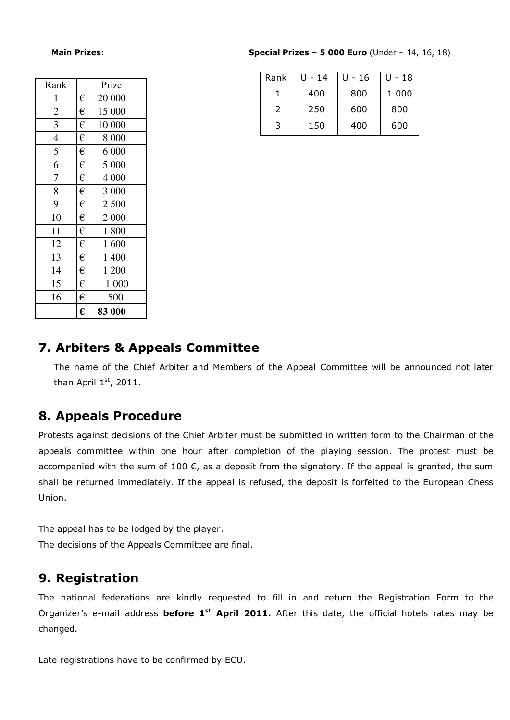| Rank           |   | Prize   |
|----------------|---|---------|
| $\mathbf{1}$   | € | 20 000  |
| $\overline{c}$ | € | 15 000  |
| 3              | € | 10 000  |
| $\overline{4}$ | € | 8 000   |
| 5              | € | 6 000   |
| 6              | € | 5 000   |
| 7              | € | 4 0 0 0 |
| 8              | € | 3 000   |
| 9              | € | 2 500   |
| 10             | € | 2 000   |
| 11             | € | 1800    |
| 12             | € | 1600    |
| 13             | € | 1 400   |
| 14             | € | 1 200   |
| 15             | € | 1 000   |
| 16             | € | 500     |
|                | € | 83 000  |

 **Main Prizes: Special Prizes – 5 000 Euro** (Under – 14, 16, 18)

| Rank | U - 14 | U - 16 | U - 18 |
|------|--------|--------|--------|
|      | 400    | 800    | 1 000  |
|      | 250    | 600    | 800    |
| ີ    | 150    | 400    | 600    |

#### **7. Arbiters & Appeals Committee**

The name of the Chief Arbiter and Members of the Appeal Committee will be announced not later than April  $1<sup>st</sup>$ , 2011.

### **8. Appeals Procedure**

Protests against decisions of the Chief Arbiter must be submitted in written form to the Chairman of the appeals committee within one hour after completion of the playing session. The protest must be accompanied with the sum of 100  $\epsilon$ , as a deposit from the signatory. If the appeal is granted, the sum shall be returned immediately. If the appeal is refused, the deposit is forfeited to the European Chess Union.

The appeal has to be lodged by the player. The decisions of the Appeals Committee are final.

### **9. Registration**

The national federations are kindly requested to fill in and return the Registration Form to the Organizer's e-mail address **before 1st April 2011.** After this date, the official hotels rates may be changed.

Late registrations have to be confirmed by ECU.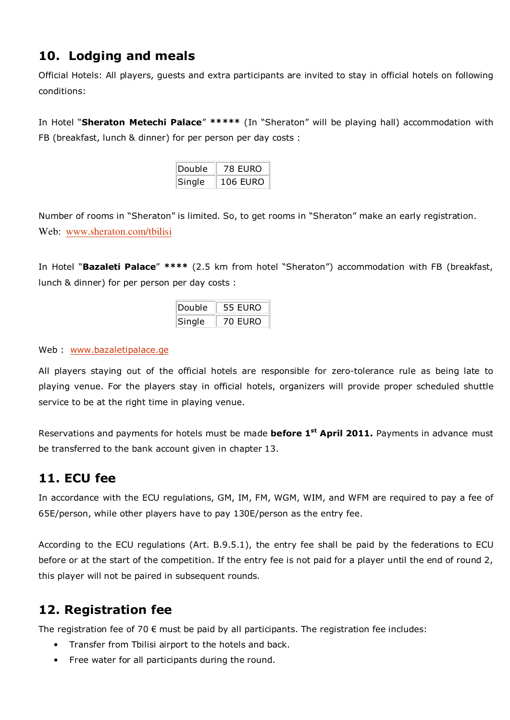# **10. Lodging and meals**

Official Hotels: All players, guests and extra participants are invited to stay in official hotels on following conditions:

In Hotel "**Sheraton Metechi Palace**" **\*\*\*\*\*** (In "Sheraton" will be playing hall) accommodation with FB (breakfast, lunch & dinner) for per person per day costs :

| Double | 78 EURO         |  |
|--------|-----------------|--|
| Single | <b>106 EURO</b> |  |

Number of rooms in "Sheraton" is limited. So, to get rooms in "Sheraton" make an early registration. Web: www.sheraton.com/tbilisi

In Hotel "**Bazaleti Palace**" **\*\*\*\*** (2.5 km from hotel "Sheraton") accommodation with FB (breakfast, lunch & dinner) for per person per day costs :

| Double | 55 EURO |
|--------|---------|
| Single | 70 EURO |

Web : www.bazaletipalace.ge

All players staying out of the official hotels are responsible for zero-tolerance rule as being late to playing venue. For the players stay in official hotels, organizers will provide proper scheduled shuttle service to be at the right time in playing venue.

Reservations and payments for hotels must be made **before 1st April 2011.** Payments in advance must be transferred to the bank account given in chapter 13.

## **11. ECU fee**

In accordance with the ECU regulations, GM, IM, FM, WGM, WIM, and WFM are required to pay a fee of 65E/person, while other players have to pay 130E/person as the entry fee.

According to the ECU regulations (Art. B.9.5.1), the entry fee shall be paid by the federations to ECU before or at the start of the competition. If the entry fee is not paid for a player until the end of round 2, this player will not be paired in subsequent rounds.

## **12. Registration fee**

The registration fee of 70  $\epsilon$  must be paid by all participants. The registration fee includes:

- Transfer from Tbilisi airport to the hotels and back.
- Free water for all participants during the round.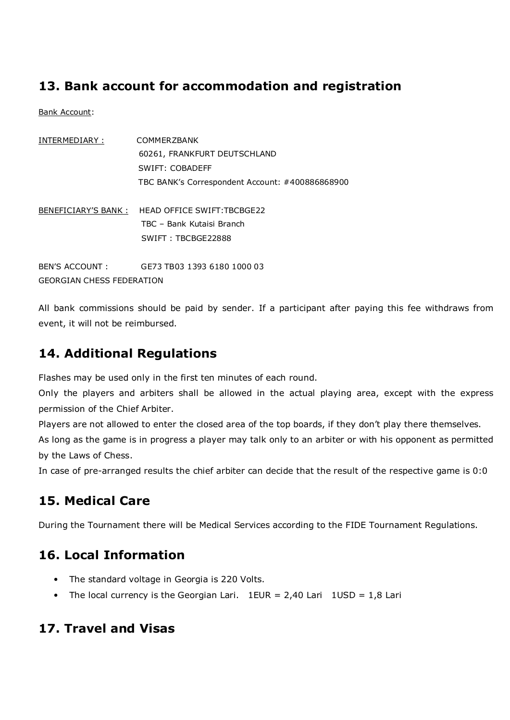## **13. Bank account for accommodation and registration**

Bank Account:

| INTERMEDIARY :  | <b>COMMERZBANK</b>                                                           |
|-----------------|------------------------------------------------------------------------------|
|                 | 60261, FRANKFURT DEUTSCHLAND                                                 |
|                 | SWIFT: COBADEFF                                                              |
|                 | TBC BANK's Correspondent Account: #400886868900                              |
|                 | BENEFICIARY'S BANK : HEAD OFFICE SWIFT:TBCBGE22<br>TBC - Bank Kutaisi Branch |
|                 | SWIFT: TBCBGE22888                                                           |
| BEN'S ACCOUNT : | GE73 TB03 1393 6180 1000 03                                                  |

GEORGIAN CHESS FEDERATION

All bank commissions should be paid by sender. If a participant after paying this fee withdraws from event, it will not be reimbursed.

## **14. Additional Regulations**

Flashes may be used only in the first ten minutes of each round.

Only the players and arbiters shall be allowed in the actual playing area, except with the express permission of the Chief Arbiter.

Players are not allowed to enter the closed area of the top boards, if they don't play there themselves. As long as the game is in progress a player may talk only to an arbiter or with his opponent as permitted by the Laws of Chess.

In case of pre-arranged results the chief arbiter can decide that the result of the respective game is 0:0

# **15. Medical Care**

During the Tournament there will be Medical Services according to the FIDE Tournament Regulations.

## **16. Local Information**

- The standard voltage in Georgia is 220 Volts.
- The local currency is the Georgian Lari.  $1EUR = 2,40$  Lari  $1USD = 1,8$  Lari

## **17. Travel and Visas**